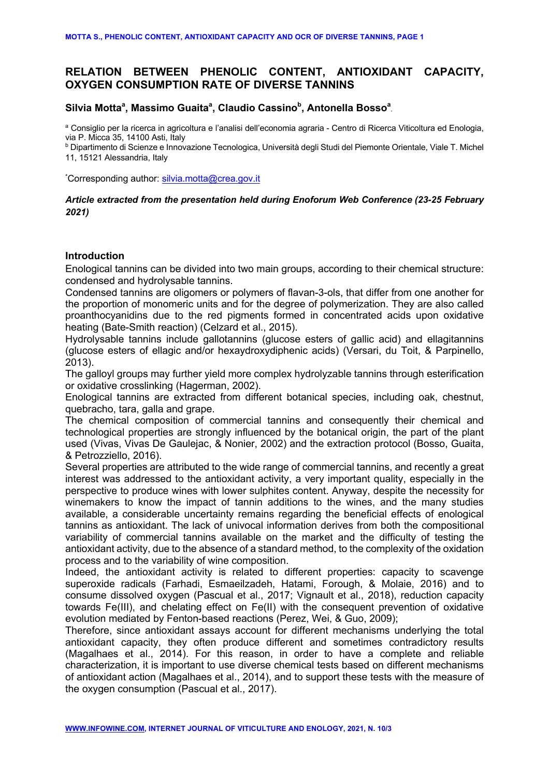# **RELATION BETWEEN PHENOLIC CONTENT, ANTIOXIDANT CAPACITY, OXYGEN CONSUMPTION RATE OF DIVERSE TANNINS**

# Silvia Motta<sup>a</sup>, Massimo Guaita<sup>a</sup>, Claudio Cassino<sup>b</sup>, Antonella Bosso<sup>a</sup>,

<sup>a</sup> Consiglio per la ricerca in agricoltura e l'analisi dell'economia agraria - Centro di Ricerca Viticoltura ed Enologia, via P. Micca 35, 14100 Asti, Italy

<sup>b</sup> Dipartimento di Scienze e Innovazione Tecnologica, Università degli Studi del Piemonte Orientale, Viale T. Michel 11, 15121 Alessandria, Italy

\*Corresponding author: silvia.motta@crea.gov.it

## *Article extracted from the presentation held during Enoforum Web Conference (23-25 February 2021)*

### **Introduction**

Enological tannins can be divided into two main groups, according to their chemical structure: condensed and hydrolysable tannins.

Condensed tannins are oligomers or polymers of flavan-3-ols, that differ from one another for the proportion of monomeric units and for the degree of polymerization. They are also called proanthocyanidins due to the red pigments formed in concentrated acids upon oxidative heating (Bate-Smith reaction) (Celzard et al., 2015).

Hydrolysable tannins include gallotannins (glucose esters of gallic acid) and ellagitannins (glucose esters of ellagic and/or hexaydroxydiphenic acids) (Versari, du Toit, & Parpinello, 2013).

The galloyl groups may further yield more complex hydrolyzable tannins through esterification or oxidative crosslinking (Hagerman, 2002).

Enological tannins are extracted from different botanical species, including oak, chestnut, quebracho, tara, galla and grape.

The chemical composition of commercial tannins and consequently their chemical and technological properties are strongly influenced by the botanical origin, the part of the plant used (Vivas, Vivas De Gaulejac, & Nonier, 2002) and the extraction protocol (Bosso, Guaita, & Petrozziello, 2016).

Several properties are attributed to the wide range of commercial tannins, and recently a great interest was addressed to the antioxidant activity, a very important quality, especially in the perspective to produce wines with lower sulphites content. Anyway, despite the necessity for winemakers to know the impact of tannin additions to the wines, and the many studies available, a considerable uncertainty remains regarding the beneficial effects of enological tannins as antioxidant. The lack of univocal information derives from both the compositional variability of commercial tannins available on the market and the difficulty of testing the antioxidant activity, due to the absence of a standard method, to the complexity of the oxidation process and to the variability of wine composition.

Indeed, the antioxidant activity is related to different properties: capacity to scavenge superoxide radicals (Farhadi, Esmaeilzadeh, Hatami, Forough, & Molaie, 2016) and to consume dissolved oxygen (Pascual et al., 2017; Vignault et al., 2018), reduction capacity towards Fe(III), and chelating effect on Fe(II) with the consequent prevention of oxidative evolution mediated by Fenton-based reactions (Perez, Wei, & Guo, 2009);

Therefore, since antioxidant assays account for different mechanisms underlying the total antioxidant capacity, they often produce different and sometimes contradictory results (Magalhaes et al., 2014). For this reason, in order to have a complete and reliable characterization, it is important to use diverse chemical tests based on different mechanisms of antioxidant action (Magalhaes et al., 2014), and to support these tests with the measure of the oxygen consumption (Pascual et al., 2017).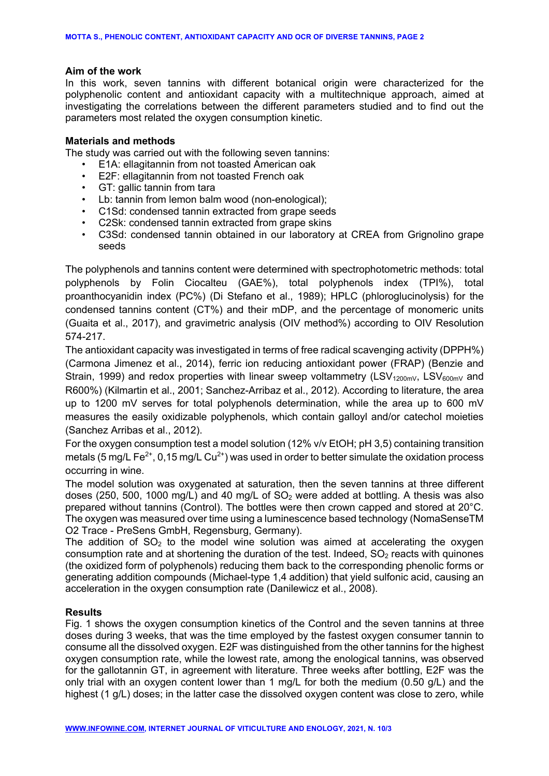## **Aim of the work**

In this work, seven tannins with different botanical origin were characterized for the polyphenolic content and antioxidant capacity with a multitechnique approach, aimed at investigating the correlations between the different parameters studied and to find out the parameters most related the oxygen consumption kinetic.

## **Materials and methods**

The study was carried out with the following seven tannins:

- E1A: ellagitannin from not toasted American oak
- E2F: ellagitannin from not toasted French oak
- GT: gallic tannin from tara
- Lb: tannin from lemon balm wood (non-enological);
- C1Sd: condensed tannin extracted from grape seeds
- C2Sk: condensed tannin extracted from grape skins
- C3Sd: condensed tannin obtained in our laboratory at CREA from Grignolino grape seeds

The polyphenols and tannins content were determined with spectrophotometric methods: total polyphenols by Folin Ciocalteu (GAE%), total polyphenols index (TPI%), total proanthocyanidin index (PC%) (Di Stefano et al., 1989); HPLC (phloroglucinolysis) for the condensed tannins content (CT%) and their mDP, and the percentage of monomeric units (Guaita et al., 2017), and gravimetric analysis (OIV method%) according to OIV Resolution 574-217.

The antioxidant capacity was investigated in terms of free radical scavenging activity (DPPH%) (Carmona Jimenez et al., 2014), ferric ion reducing antioxidant power (FRAP) (Benzie and Strain, 1999) and redox properties with linear sweep voltammetry (LSV<sub>1200mV</sub>, LSV<sub>600mV</sub> and R600%) (Kilmartin et al., 2001; Sanchez-Arribaz et al., 2012). According to literature, the area up to 1200 mV serves for total polyphenols determination, while the area up to 600 mV measures the easily oxidizable polyphenols, which contain galloyl and/or catechol moieties (Sanchez Arribas et al., 2012).

For the oxygen consumption test a model solution (12% v/v EtOH; pH 3,5) containing transition metals (5 mg/L Fe<sup>2+</sup>, 0,15 mg/L Cu<sup>2+</sup>) was used in order to better simulate the oxidation process occurring in wine.

The model solution was oxygenated at saturation, then the seven tannins at three different doses (250, 500, 1000 mg/L) and 40 mg/L of  $SO<sub>2</sub>$  were added at bottling. A thesis was also prepared without tannins (Control). The bottles were then crown capped and stored at 20°C. The oxygen was measured over time using a luminescence based technology (NomaSenseTM O2 Trace - PreSens GmbH, Regensburg, Germany).

The addition of  $SO<sub>2</sub>$  to the model wine solution was aimed at accelerating the oxygen consumption rate and at shortening the duration of the test. Indeed,  $SO<sub>2</sub>$  reacts with quinones (the oxidized form of polyphenols) reducing them back to the corresponding phenolic forms or generating addition compounds (Michael-type 1,4 addition) that yield sulfonic acid, causing an acceleration in the oxygen consumption rate (Danilewicz et al., 2008).

# **Results**

Fig. 1 shows the oxygen consumption kinetics of the Control and the seven tannins at three doses during 3 weeks, that was the time employed by the fastest oxygen consumer tannin to consume all the dissolved oxygen. E2F was distinguished from the other tannins for the highest oxygen consumption rate, while the lowest rate, among the enological tannins, was observed for the gallotannin GT, in agreement with literature. Three weeks after bottling, E2F was the only trial with an oxygen content lower than 1 mg/L for both the medium (0.50 g/L) and the highest (1 g/L) doses; in the latter case the dissolved oxygen content was close to zero, while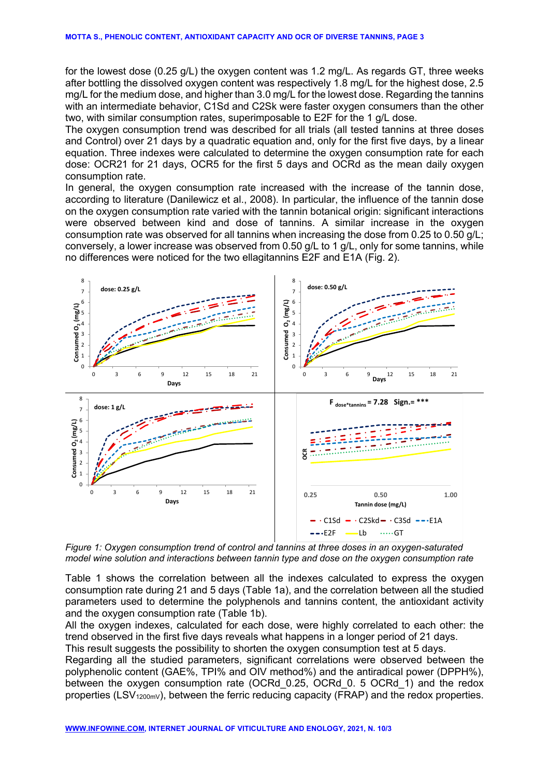for the lowest dose (0.25 g/L) the oxygen content was 1.2 mg/L. As regards GT, three weeks after bottling the dissolved oxygen content was respectively 1.8 mg/L for the highest dose, 2.5 mg/L for the medium dose, and higher than 3.0 mg/L for the lowest dose. Regarding the tannins with an intermediate behavior, C1Sd and C2Sk were faster oxygen consumers than the other two, with similar consumption rates, superimposable to E2F for the 1 g/L dose.

The oxygen consumption trend was described for all trials (all tested tannins at three doses and Control) over 21 days by a quadratic equation and, only for the first five days, by a linear equation. Three indexes were calculated to determine the oxygen consumption rate for each dose: OCR21 for 21 days, OCR5 for the first 5 days and OCRd as the mean daily oxygen consumption rate.

In general, the oxygen consumption rate increased with the increase of the tannin dose, according to literature (Danilewicz et al., 2008). In particular, the influence of the tannin dose on the oxygen consumption rate varied with the tannin botanical origin: significant interactions were observed between kind and dose of tannins. A similar increase in the oxygen consumption rate was observed for all tannins when increasing the dose from 0.25 to 0.50 g/L; conversely, a lower increase was observed from 0.50 g/L to 1 g/L, only for some tannins, while no differences were noticed for the two ellagitannins E2F and E1A (Fig. 2).



*Figure 1: Oxygen consumption trend of control and tannins at three doses in an oxygen-saturated model wine solution and interactions between tannin type and dose on the oxygen consumption rate*

Table 1 shows the correlation between all the indexes calculated to express the oxygen consumption rate during 21 and 5 days (Table 1a), and the correlation between all the studied parameters used to determine the polyphenols and tannins content, the antioxidant activity and the oxygen consumption rate (Table 1b).

All the oxygen indexes, calculated for each dose, were highly correlated to each other: the trend observed in the first five days reveals what happens in a longer period of 21 days.

This result suggests the possibility to shorten the oxygen consumption test at 5 days.

Regarding all the studied parameters, significant correlations were observed between the polyphenolic content (GAE%, TPI% and OIV method%) and the antiradical power (DPPH%), between the oxygen consumption rate (OCRd\_0.25, OCRd\_0. 5 OCRd\_1) and the redox properties (LSV<sub>1200mV</sub>), between the ferric reducing capacity (FRAP) and the redox properties.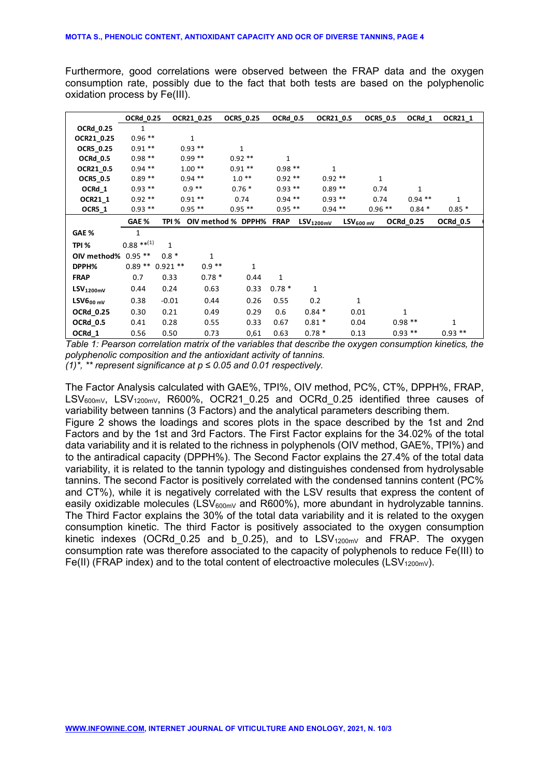Furthermore, good correlations were observed between the FRAP data and the oxygen consumption rate, possibly due to the fact that both tests are based on the polyphenolic oxidation process by Fe(III).

|                     | <b>OCRd 0.25</b> |                      | OCR21 0.25 | OCR5 0.25          | OCRd 0.5     |                | OCR21 0.5    | <b>OCR5 0.5</b>          | OCRd 1           | OCR21 1     |
|---------------------|------------------|----------------------|------------|--------------------|--------------|----------------|--------------|--------------------------|------------------|-------------|
| OCRd_0.25           | 1                |                      |            |                    |              |                |              |                          |                  |             |
| OCR21_0.25          | $0.96**$         |                      | 1          |                    |              |                |              |                          |                  |             |
| OCR5_0.25           | $0.91**$         |                      | $0.93$ **  | $\mathbf{1}$       |              |                |              |                          |                  |             |
| <b>OCRd_0.5</b>     | $0.98**$         |                      | $0.99**$   | $0.92**$           | 1            |                |              |                          |                  |             |
| OCR21_0.5           | $0.94$ **        |                      | $1.00**$   | $0.91**$           | $0.98**$     |                | $\mathbf{1}$ |                          |                  |             |
| <b>OCR5_0.5</b>     | $0.89**$         |                      | $0.94$ **  | $1.0**$            | $0.92**$     |                | $0.92**$     | 1                        |                  |             |
| OCRd_1              | $0.93**$         |                      | $0.9**$    | $0.76*$            | $0.93$ **    |                | $0.89**$     | 0.74                     | 1                |             |
| OCR21_1             | $0.92**$         |                      | $0.91**$   | 0.74               | $0.94$ **    |                | $0.93$ **    | 0.74                     | $0.94$ **        | $\mathbf 1$ |
| $OCR5_1$            | $0.93**$         |                      | $0.95$ **  | $0.95$ **          | $0.95**$     |                | $0.94$ **    | $0.96$ **                | $0.84*$          | $0.85*$     |
|                     | GAE %            | TPI %                |            | OIV method % DPPH% | <b>FRAP</b>  | $LSV_{1200mV}$ |              | $LSV_{600 \, \text{mV}}$ | <b>OCRd_0.25</b> | OCRd_0.5    |
| GAE %               | 1                |                      |            |                    |              |                |              |                          |                  |             |
| TPI %               | $0.88***^{(1)}$  | $\mathbf{1}$         |            |                    |              |                |              |                          |                  |             |
| OIV method% 0.95 ** |                  | $0.8 *$              | 1          |                    |              |                |              |                          |                  |             |
| DPPH%               |                  | $0.89$ ** $0.921$ ** | $0.9**$    | $\mathbf{1}$       |              |                |              |                          |                  |             |
| <b>FRAP</b>         | 0.7              | 0.33                 | $0.78*$    | 0.44               | $\mathbf{1}$ |                |              |                          |                  |             |
| $LSV_{1200mV}$      | 0.44             | 0.24                 | 0.63       | 0.33               | $0.78*$      | 1              |              |                          |                  |             |
| $LSV6_{00\,mV}$     | 0.38             | $-0.01$              | 0.44       | 0.26               | 0.55         | 0.2            |              | 1                        |                  |             |
| <b>OCRd_0.25</b>    | 0.30             | 0.21                 | 0.49       | 0.29               | 0.6          | $0.84*$        |              | 0.01                     | 1                |             |
| OCRd 0.5            | 0.41             | 0.28                 | 0.55       | 0.33               | 0.67         | $0.81*$        |              | 0.04                     | $0.98**$         | 1           |
| OCRd_1              | 0.56             | 0.50                 | 0.73       | 0,61               | 0.63         | $0.78*$        |              | 0.13                     | $0.93***$        | $0.93$ **   |

*Table 1: Pearson correlation matrix of the variables that describe the oxygen consumption kinetics, the polyphenolic composition and the antioxidant activity of tannins.*

*(1)\*, \*\* represent significance at p ≤ 0.05 and 0.01 respectively.*

The Factor Analysis calculated with GAE%, TPI%, OIV method, PC%, CT%, DPPH%, FRAP,  $LSV_{600mV}$ ,  $LSV_{1200mV}$ , R600%, OCR21 0.25 and OCRd 0.25 identified three causes of variability between tannins (3 Factors) and the analytical parameters describing them. Figure 2 shows the loadings and scores plots in the space described by the 1st and 2nd Factors and by the 1st and 3rd Factors. The First Factor explains for the 34.02% of the total data variability and it is related to the richness in polyphenols (OIV method, GAE%, TPI%) and to the antiradical capacity (DPPH%). The Second Factor explains the 27.4% of the total data variability, it is related to the tannin typology and distinguishes condensed from hydrolysable tannins. The second Factor is positively correlated with the condensed tannins content (PC% and CT%), while it is negatively correlated with the LSV results that express the content of easily oxidizable molecules (LSV $_{600mV}$  and R600%), more abundant in hydrolyzable tannins. The Third Factor explains the 30% of the total data variability and it is related to the oxygen consumption kinetic. The third Factor is positively associated to the oxygen consumption kinetic indexes (OCRd 0.25 and b 0.25), and to  $LSV_{1200mV}$  and FRAP. The oxygen consumption rate was therefore associated to the capacity of polyphenols to reduce Fe(III) to Fe(II) (FRAP index) and to the total content of electroactive molecules (LSV<sub>1200mV</sub>).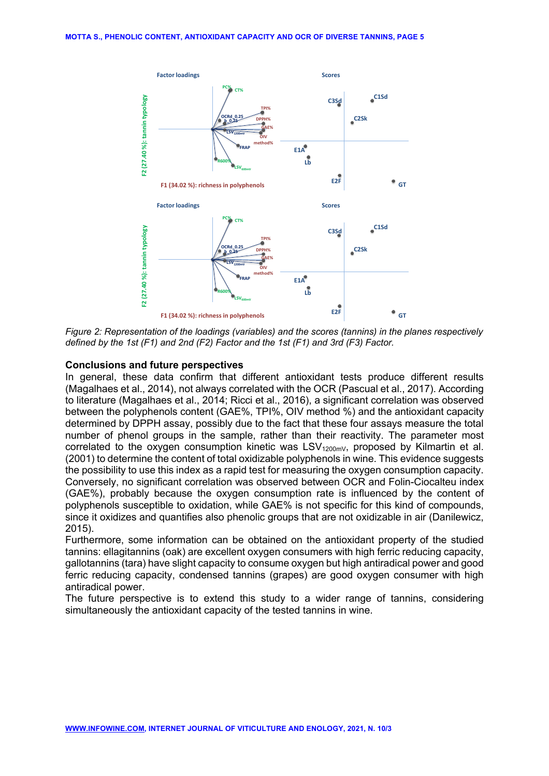

*Figure 2: Representation of the loadings (variables) and the scores (tannins) in the planes respectively defined by the 1st (F1) and 2nd (F2) Factor and the 1st (F1) and 3rd (F3) Factor.*

#### **Conclusions and future perspectives**

In general, these data confirm that different antioxidant tests produce different results (Magalhaes et al., 2014), not always correlated with the OCR (Pascual et al., 2017). According to literature (Magalhaes et al., 2014; Ricci et al., 2016), a significant correlation was observed between the polyphenols content (GAE%, TPI%, OIV method %) and the antioxidant capacity determined by DPPH assay, possibly due to the fact that these four assays measure the total number of phenol groups in the sample, rather than their reactivity. The parameter most correlated to the oxygen consumption kinetic was  $LSV_{1200mV}$ , proposed by Kilmartin et al. (2001) to determine the content of total oxidizable polyphenols in wine. This evidence suggests the possibility to use this index as a rapid test for measuring the oxygen consumption capacity. Conversely, no significant correlation was observed between OCR and Folin-Ciocalteu index (GAE%), probably because the oxygen consumption rate is influenced by the content of polyphenols susceptible to oxidation, while GAE% is not specific for this kind of compounds, since it oxidizes and quantifies also phenolic groups that are not oxidizable in air (Danilewicz, 2015).

Furthermore, some information can be obtained on the antioxidant property of the studied tannins: ellagitannins (oak) are excellent oxygen consumers with high ferric reducing capacity, gallotannins (tara) have slight capacity to consume oxygen but high antiradical power and good ferric reducing capacity, condensed tannins (grapes) are good oxygen consumer with high antiradical power.

The future perspective is to extend this study to a wider range of tannins, considering simultaneously the antioxidant capacity of the tested tannins in wine.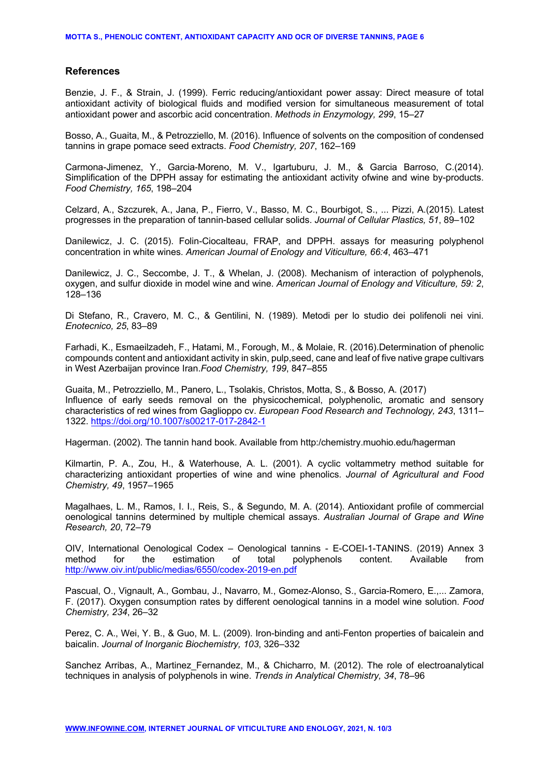#### **References**

Benzie, J. F., & Strain, J. (1999). Ferric reducing/antioxidant power assay: Direct measure of total antioxidant activity of biological fluids and modified version for simultaneous measurement of total antioxidant power and ascorbic acid concentration. *Methods in Enzymology, 299*, 15–27

Bosso, A., Guaita, M., & Petrozziello, M. (2016). Influence of solvents on the composition of condensed tannins in grape pomace seed extracts. *Food Chemistry, 207*, 162–169

Carmona-Jimenez, Y., Garcia-Moreno, M. V., Igartuburu, J. M., & Garcia Barroso, C.(2014). Simplification of the DPPH assay for estimating the antioxidant activity ofwine and wine by-products. *Food Chemistry, 165*, 198–204

Celzard, A., Szczurek, A., Jana, P., Fierro, V., Basso, M. C., Bourbigot, S., ... Pizzi, A.(2015). Latest progresses in the preparation of tannin-based cellular solids. *Journal of Cellular Plastics, 51*, 89–102

Danilewicz, J. C. (2015). Folin-Ciocalteau, FRAP, and DPPH. assays for measuring polyphenol concentration in white wines. *American Journal of Enology and Viticulture, 66:4*, 463–471

Danilewicz, J. C., Seccombe, J. T., & Whelan, J. (2008). Mechanism of interaction of polyphenols, oxygen, and sulfur dioxide in model wine and wine. *American Journal of Enology and Viticulture, 59: 2*, 128–136

Di Stefano, R., Cravero, M. C., & Gentilini, N. (1989). Metodi per lo studio dei polifenoli nei vini. *Enotecnico, 25*, 83–89

Farhadi, K., Esmaeilzadeh, F., Hatami, M., Forough, M., & Molaie, R. (2016).Determination of phenolic compounds content and antioxidant activity in skin, pulp,seed, cane and leaf of five native grape cultivars in West Azerbaijan province Iran.*Food Chemistry, 199*, 847–855

Guaita, M., Petrozziello, M., Panero, L., Tsolakis, Christos, Motta, S., & Bosso, A. (2017) Influence of early seeds removal on the physicochemical, polyphenolic, aromatic and sensory characteristics of red wines from Gaglioppo cv. *European Food Research and Technology, 243*, 1311– 1322. https://doi.org/10.1007/s00217-017-2842-1

Hagerman. (2002). The tannin hand book. Available from http:/chemistry.muohio.edu/hagerman

Kilmartin, P. A., Zou, H., & Waterhouse, A. L. (2001). A cyclic voltammetry method suitable for characterizing antioxidant properties of wine and wine phenolics. *Journal of Agricultural and Food Chemistry, 49*, 1957–1965

Magalhaes, L. M., Ramos, I. I., Reis, S., & Segundo, M. A. (2014). Antioxidant profile of commercial oenological tannins determined by multiple chemical assays. *Australian Journal of Grape and Wine Research, 20*, 72–79

OIV, International Oenological Codex – Oenological tannins - E-COEI-1-TANINS. (2019) Annex 3 method for the estimation of total polyphenols content. Available from http://www.oiv.int/public/medias/6550/codex-2019-en.pdf

Pascual, O., Vignault, A., Gombau, J., Navarro, M., Gomez-Alonso, S., Garcia-Romero, E.,... Zamora, F. (2017). Oxygen consumption rates by different oenological tannins in a model wine solution. *Food Chemistry, 234*, 26–32

Perez, C. A., Wei, Y. B., & Guo, M. L. (2009). Iron-binding and anti-Fenton properties of baicalein and baicalin. *Journal of Inorganic Biochemistry, 103*, 326–332

Sanchez Arribas, A., Martinez Fernandez, M., & Chicharro, M. (2012). The role of electroanalytical techniques in analysis of polyphenols in wine. *Trends in Analytical Chemistry, 34*, 78–96